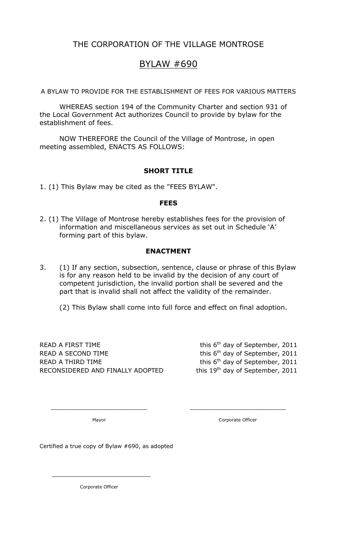### THE CORPORATION OF THE VILLAGE MONTROSE

## BYLAW #690

A BYLAW TO PROVIDE FOR THE ESTABLISHMENT OF FEES FOR VARIOUS MATTERS

WHEREAS section 194 of the Community Charter and section 931 of the Local Government Act authorizes Council to provide by bylaw for the establishment of fees.

NOW THEREFORE the Council of the Village of Montrose, in open meeting assembled, ENACTS AS FOLLOWS:

#### SHORT TITLE

1. (1) This Bylaw may be cited as the "FEES BYLAW".

#### FEES

2. (1) The Village of Montrose hereby establishes fees for the provision of information and miscellaneous services as set out in Schedule 'A' forming part of this bylaw.

#### ENACTMENT

3. (1) If any section, subsection, sentence, clause or phrase of this Bylaw is for any reason held to be invalid by the decision of any court of competent jurisdiction, the invalid portion shall be severed and the part that is invalid shall not affect the validity of the remainder.

 $\frac{1}{2}$  ,  $\frac{1}{2}$  ,  $\frac{1}{2}$  ,  $\frac{1}{2}$  ,  $\frac{1}{2}$  ,  $\frac{1}{2}$  ,  $\frac{1}{2}$  ,  $\frac{1}{2}$  ,  $\frac{1}{2}$  ,  $\frac{1}{2}$  ,  $\frac{1}{2}$  ,  $\frac{1}{2}$  ,  $\frac{1}{2}$  ,  $\frac{1}{2}$  ,  $\frac{1}{2}$  ,  $\frac{1}{2}$  ,  $\frac{1}{2}$  ,  $\frac{1}{2}$  ,  $\frac{1$ 

(2) This Bylaw shall come into full force and effect on final adoption.

READ A FIRST TIME  $\mathsf{R}$  and  $\mathsf{R}$  this  $\mathsf{G}^{\mathsf{th}}$  day of September, 2011 READ A SECOND TIME  $\mathsf{R}$  this  $6^{\text{th}}$  day of September, 2011 READ A THIRD TIME  $R$  and  $R$  this  $6<sup>th</sup>$  day of September, 2011 RECONSIDERED AND FINALLY ADOPTED this 19<sup>th</sup> day of September, 2011

Mayor **Mayor** Corporate Officer

Certified a true copy of Bylaw #690, as adopted

Corporate Officer

 $\frac{1}{2}$  ,  $\frac{1}{2}$  ,  $\frac{1}{2}$  ,  $\frac{1}{2}$  ,  $\frac{1}{2}$  ,  $\frac{1}{2}$  ,  $\frac{1}{2}$  ,  $\frac{1}{2}$  ,  $\frac{1}{2}$  ,  $\frac{1}{2}$  ,  $\frac{1}{2}$  ,  $\frac{1}{2}$  ,  $\frac{1}{2}$  ,  $\frac{1}{2}$  ,  $\frac{1}{2}$  ,  $\frac{1}{2}$  ,  $\frac{1}{2}$  ,  $\frac{1}{2}$  ,  $\frac{1$